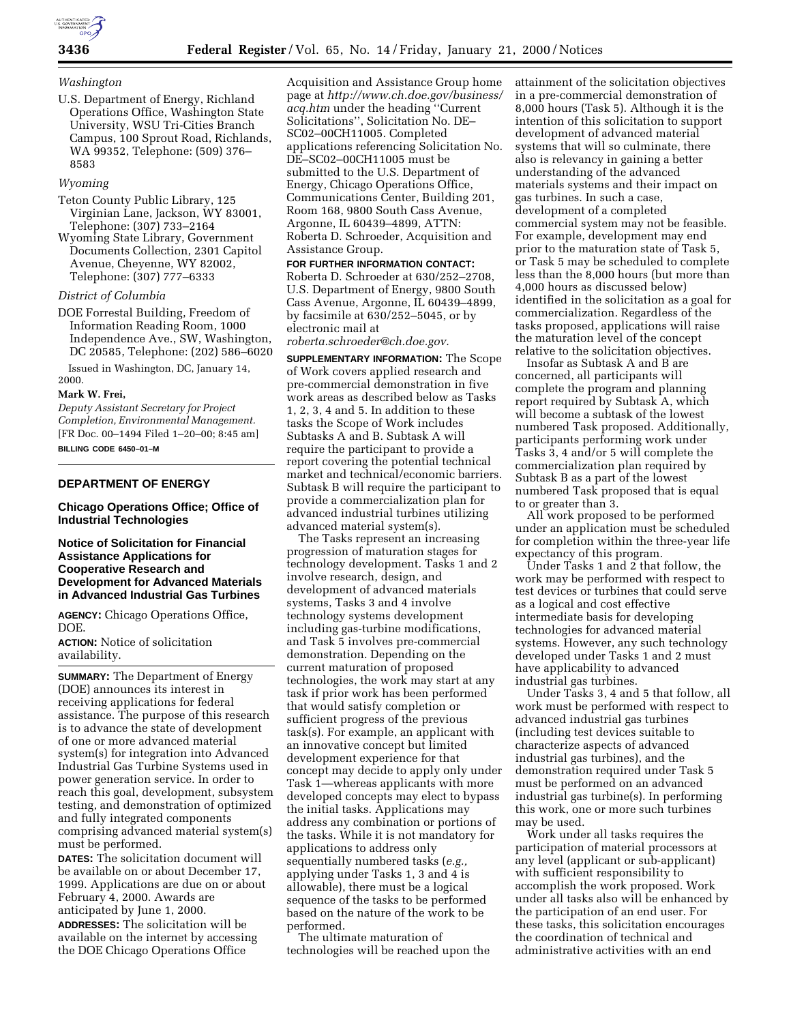

### *Washington*

U.S. Department of Energy, Richland Operations Office, Washington State University, WSU Tri-Cities Branch Campus, 100 Sprout Road, Richlands, WA 99352, Telephone: (509) 376– 8583

# *Wyoming*

- Teton County Public Library, 125 Virginian Lane, Jackson, WY 83001, Telephone: (307) 733–2164
- Wyoming State Library, Government Documents Collection, 2301 Capitol Avenue, Cheyenne, WY 82002, Telephone: (307) 777–6333

## *District of Columbia*

DOE Forrestal Building, Freedom of Information Reading Room, 1000 Independence Ave., SW, Washington, DC 20585, Telephone: (202) 586–6020

Issued in Washington, DC, January 14, 2000.

#### **Mark W. Frei,**

*Deputy Assistant Secretary for Project Completion, Environmental Management.* [FR Doc. 00–1494 Filed 1–20–00; 8:45 am] **BILLING CODE 6450–01–M**

## **DEPARTMENT OF ENERGY**

### **Chicago Operations Office; Office of Industrial Technologies**

## **Notice of Solicitation for Financial Assistance Applications for Cooperative Research and Development for Advanced Materials in Advanced Industrial Gas Turbines**

**AGENCY:** Chicago Operations Office, DOE.

**ACTION:** Notice of solicitation availability.

**SUMMARY:** The Department of Energy (DOE) announces its interest in receiving applications for federal assistance. The purpose of this research is to advance the state of development of one or more advanced material system(s) for integration into Advanced Industrial Gas Turbine Systems used in power generation service. In order to reach this goal, development, subsystem testing, and demonstration of optimized and fully integrated components comprising advanced material system(s) must be performed.

**DATES:** The solicitation document will be available on or about December 17, 1999. Applications are due on or about February 4, 2000. Awards are anticipated by June 1, 2000.

**ADDRESSES:** The solicitation will be available on the internet by accessing the DOE Chicago Operations Office

Acquisition and Assistance Group home page at *http://www.ch.doe.gov/business/ acq.htm* under the heading ''Current Solicitations'', Solicitation No. DE– SC02–00CH11005. Completed applications referencing Solicitation No. DE–SC02–00CH11005 must be submitted to the U.S. Department of Energy, Chicago Operations Office, Communications Center, Building 201, Room 168, 9800 South Cass Avenue, Argonne, IL 60439–4899, ATTN: Roberta D. Schroeder, Acquisition and Assistance Group.

**FOR FURTHER INFORMATION CONTACT:** Roberta D. Schroeder at 630/252–2708, U.S. Department of Energy, 9800 South Cass Avenue, Argonne, IL 60439–4899, by facsimile at 630/252–5045, or by electronic mail at

*roberta.schroeder@ch.doe.gov.*

**SUPPLEMENTARY INFORMATION:** The Scope of Work covers applied research and pre-commercial demonstration in five work areas as described below as Tasks 1, 2, 3, 4 and 5. In addition to these tasks the Scope of Work includes Subtasks A and B. Subtask A will require the participant to provide a report covering the potential technical market and technical/economic barriers. Subtask B will require the participant to provide a commercialization plan for advanced industrial turbines utilizing advanced material system(s).

The Tasks represent an increasing progression of maturation stages for technology development. Tasks 1 and 2 involve research, design, and development of advanced materials systems, Tasks 3 and 4 involve technology systems development including gas-turbine modifications, and Task 5 involves pre-commercial demonstration. Depending on the current maturation of proposed technologies, the work may start at any task if prior work has been performed that would satisfy completion or sufficient progress of the previous task(s). For example, an applicant with an innovative concept but limited development experience for that concept may decide to apply only under Task 1—whereas applicants with more developed concepts may elect to bypass the initial tasks. Applications may address any combination or portions of the tasks. While it is not mandatory for applications to address only sequentially numbered tasks (*e.g.,* applying under Tasks 1, 3 and 4 is allowable), there must be a logical sequence of the tasks to be performed based on the nature of the work to be performed.

The ultimate maturation of technologies will be reached upon the attainment of the solicitation objectives in a pre-commercial demonstration of 8,000 hours (Task 5). Although it is the intention of this solicitation to support development of advanced material systems that will so culminate, there also is relevancy in gaining a better understanding of the advanced materials systems and their impact on gas turbines. In such a case, development of a completed commercial system may not be feasible. For example, development may end prior to the maturation state of Task 5, or Task 5 may be scheduled to complete less than the 8,000 hours (but more than 4,000 hours as discussed below) identified in the solicitation as a goal for commercialization. Regardless of the tasks proposed, applications will raise the maturation level of the concept relative to the solicitation objectives.

Insofar as Subtask A and B are concerned, all participants will complete the program and planning report required by Subtask A, which will become a subtask of the lowest numbered Task proposed. Additionally, participants performing work under Tasks 3, 4 and/or 5 will complete the commercialization plan required by Subtask B as a part of the lowest numbered Task proposed that is equal to or greater than 3.

All work proposed to be performed under an application must be scheduled for completion within the three-year life expectancy of this program.

Under Tasks 1 and 2 that follow, the work may be performed with respect to test devices or turbines that could serve as a logical and cost effective intermediate basis for developing technologies for advanced material systems. However, any such technology developed under Tasks 1 and 2 must have applicability to advanced industrial gas turbines.

Under Tasks 3, 4 and 5 that follow, all work must be performed with respect to advanced industrial gas turbines (including test devices suitable to characterize aspects of advanced industrial gas turbines), and the demonstration required under Task 5 must be performed on an advanced industrial gas turbine(s). In performing this work, one or more such turbines may be used.

Work under all tasks requires the participation of material processors at any level (applicant or sub-applicant) with sufficient responsibility to accomplish the work proposed. Work under all tasks also will be enhanced by the participation of an end user. For these tasks, this solicitation encourages the coordination of technical and administrative activities with an end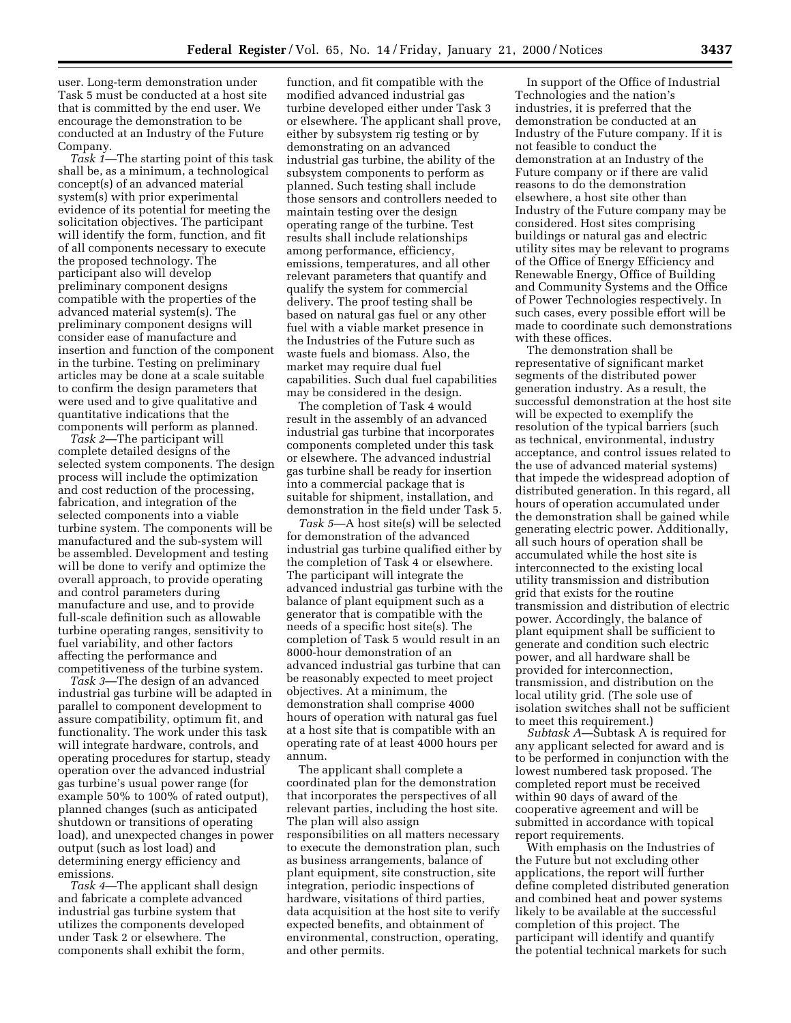user. Long-term demonstration under Task 5 must be conducted at a host site that is committed by the end user. We encourage the demonstration to be conducted at an Industry of the Future Company.

*Task 1*—The starting point of this task shall be, as a minimum, a technological concept(s) of an advanced material system(s) with prior experimental evidence of its potential for meeting the solicitation objectives. The participant will identify the form, function, and fit of all components necessary to execute the proposed technology. The participant also will develop preliminary component designs compatible with the properties of the advanced material system(s). The preliminary component designs will consider ease of manufacture and insertion and function of the component in the turbine. Testing on preliminary articles may be done at a scale suitable to confirm the design parameters that were used and to give qualitative and quantitative indications that the components will perform as planned.

*Task 2*—The participant will complete detailed designs of the selected system components. The design process will include the optimization and cost reduction of the processing, fabrication, and integration of the selected components into a viable turbine system. The components will be manufactured and the sub-system will be assembled. Development and testing will be done to verify and optimize the overall approach, to provide operating and control parameters during manufacture and use, and to provide full-scale definition such as allowable turbine operating ranges, sensitivity to fuel variability, and other factors affecting the performance and competitiveness of the turbine system.

*Task 3*—The design of an advanced industrial gas turbine will be adapted in parallel to component development to assure compatibility, optimum fit, and functionality. The work under this task will integrate hardware, controls, and operating procedures for startup, steady operation over the advanced industrial gas turbine's usual power range (for example 50% to 100% of rated output), planned changes (such as anticipated shutdown or transitions of operating load), and unexpected changes in power output (such as lost load) and determining energy efficiency and emissions.

*Task 4*—The applicant shall design and fabricate a complete advanced industrial gas turbine system that utilizes the components developed under Task 2 or elsewhere. The components shall exhibit the form,

function, and fit compatible with the modified advanced industrial gas turbine developed either under Task 3 or elsewhere. The applicant shall prove, either by subsystem rig testing or by demonstrating on an advanced industrial gas turbine, the ability of the subsystem components to perform as planned. Such testing shall include those sensors and controllers needed to maintain testing over the design operating range of the turbine. Test results shall include relationships among performance, efficiency, emissions, temperatures, and all other relevant parameters that quantify and qualify the system for commercial delivery. The proof testing shall be based on natural gas fuel or any other fuel with a viable market presence in the Industries of the Future such as waste fuels and biomass. Also, the market may require dual fuel capabilities. Such dual fuel capabilities may be considered in the design.

The completion of Task 4 would result in the assembly of an advanced industrial gas turbine that incorporates components completed under this task or elsewhere. The advanced industrial gas turbine shall be ready for insertion into a commercial package that is suitable for shipment, installation, and demonstration in the field under Task 5.

*Task 5*—A host site(s) will be selected for demonstration of the advanced industrial gas turbine qualified either by the completion of Task 4 or elsewhere. The participant will integrate the advanced industrial gas turbine with the balance of plant equipment such as a generator that is compatible with the needs of a specific host site(s). The completion of Task 5 would result in an 8000-hour demonstration of an advanced industrial gas turbine that can be reasonably expected to meet project objectives. At a minimum, the demonstration shall comprise 4000 hours of operation with natural gas fuel at a host site that is compatible with an operating rate of at least 4000 hours per annum.

The applicant shall complete a coordinated plan for the demonstration that incorporates the perspectives of all relevant parties, including the host site. The plan will also assign responsibilities on all matters necessary to execute the demonstration plan, such as business arrangements, balance of plant equipment, site construction, site integration, periodic inspections of hardware, visitations of third parties, data acquisition at the host site to verify expected benefits, and obtainment of environmental, construction, operating, and other permits.

In support of the Office of Industrial Technologies and the nation's industries, it is preferred that the demonstration be conducted at an Industry of the Future company. If it is not feasible to conduct the demonstration at an Industry of the Future company or if there are valid reasons to do the demonstration elsewhere, a host site other than Industry of the Future company may be considered. Host sites comprising buildings or natural gas and electric utility sites may be relevant to programs of the Office of Energy Efficiency and Renewable Energy, Office of Building and Community Systems and the Office of Power Technologies respectively. In such cases, every possible effort will be made to coordinate such demonstrations with these offices.

The demonstration shall be representative of significant market segments of the distributed power generation industry. As a result, the successful demonstration at the host site will be expected to exemplify the resolution of the typical barriers (such as technical, environmental, industry acceptance, and control issues related to the use of advanced material systems) that impede the widespread adoption of distributed generation. In this regard, all hours of operation accumulated under the demonstration shall be gained while generating electric power. Additionally, all such hours of operation shall be accumulated while the host site is interconnected to the existing local utility transmission and distribution grid that exists for the routine transmission and distribution of electric power. Accordingly, the balance of plant equipment shall be sufficient to generate and condition such electric power, and all hardware shall be provided for interconnection, transmission, and distribution on the local utility grid. (The sole use of isolation switches shall not be sufficient to meet this requirement.)

*Subtask A*—Subtask A is required for any applicant selected for award and is to be performed in conjunction with the lowest numbered task proposed. The completed report must be received within 90 days of award of the cooperative agreement and will be submitted in accordance with topical report requirements.

With emphasis on the Industries of the Future but not excluding other applications, the report will further define completed distributed generation and combined heat and power systems likely to be available at the successful completion of this project. The participant will identify and quantify the potential technical markets for such